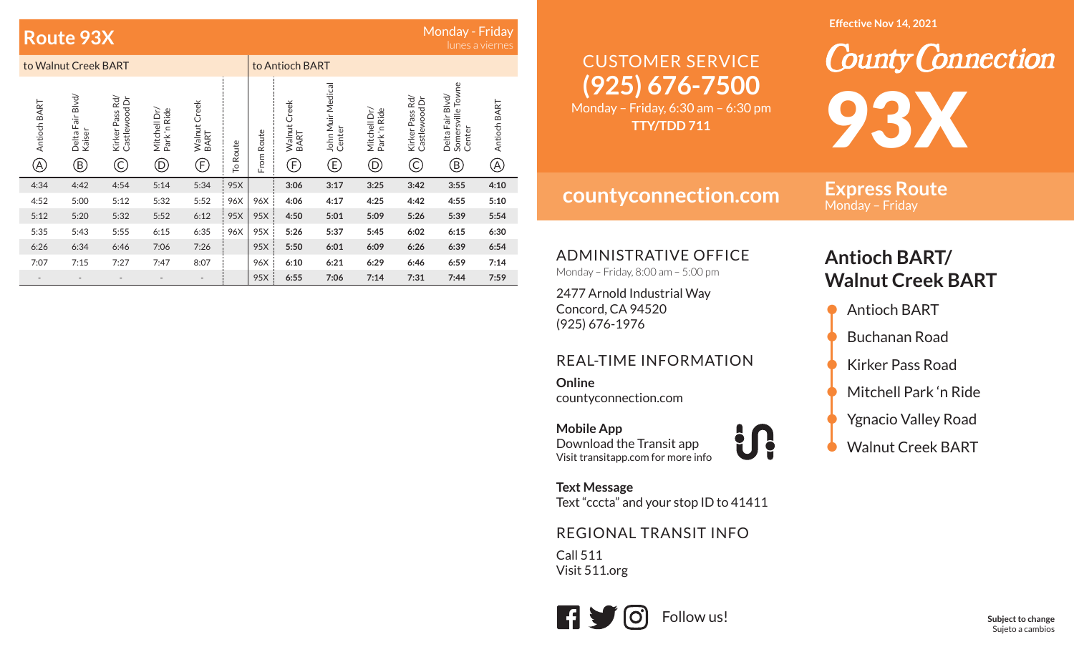## **Route 93X**

## Monday - Friday

|                          | to Walnut Creek BART                     |                                       |                                   |                            |          | to Antioch BART |                            |                                  |                                    |                                       |                                                                               |                     |
|--------------------------|------------------------------------------|---------------------------------------|-----------------------------------|----------------------------|----------|-----------------|----------------------------|----------------------------------|------------------------------------|---------------------------------------|-------------------------------------------------------------------------------|---------------------|
| Antioch BART<br>A)       | Delta Fair Blvd/<br>Kaiser<br>$\bigcirc$ | Kirker Pass Rd/<br>Castlewood Dr<br>C | Mitchell Dr/<br>Park 'n Ride<br>D | Walnut Creek<br>BART<br>F) | To Route | From Route      | Walnut Creek<br>BART<br>F) | John Muir Medical<br>Center<br>E | Mitchell Dr/<br>Park 'n Ride<br>D) | Kirker Pass Rd/<br>Castlewood Dr<br>C | Somersville Towne<br>Delta Fair Blvd/<br>Center<br>$\left( \mathrm{B}\right)$ | Antioch BART<br>(A) |
| 4:34                     | 4:42                                     | 4:54                                  | 5:14                              | 5:34                       | 95X      |                 | 3:06                       | 3:17                             | 3:25                               | 3:42                                  | 3:55                                                                          | 4:10                |
| 4:52                     | 5:00                                     | 5:12                                  | 5:32                              | 5:52                       | 96X      | 96X             | 4:06                       | 4:17                             | 4:25                               | 4:42                                  | 4:55                                                                          | 5:10                |
| 5:12                     | 5:20                                     | 5:32                                  | 5:52                              | 6:12                       | 95X      | 95X             | 4:50                       | 5:01                             | 5:09                               | 5:26                                  | 5:39                                                                          | 5:54                |
| 5:35                     | 5:43                                     | 5:55                                  | 6:15                              | 6:35                       | 96X      | 95X             | 5:26                       | 5:37                             | 5:45                               | 6:02                                  | 6:15                                                                          | 6:30                |
| 6:26                     | 6:34                                     | 6:46                                  | 7:06                              | 7:26                       |          | 95X             | 5:50                       | 6:01                             | 6:09                               | 6:26                                  | 6:39                                                                          | 6:54                |
| 7:07                     | 7:15                                     | 7:27                                  | 7:47                              | 8:07                       |          | 96X             | 6:10                       | 6:21                             | 6:29                               | 6:46                                  | 6:59                                                                          | 7:14                |
| $\overline{\phantom{a}}$ |                                          |                                       |                                   |                            |          | 95X             | 6:55                       | 7:06                             | 7:14                               | 7:31                                  | 7:44                                                                          | 7:59                |

#### **Effective Nov 14, 2021**

# **(925) 676-7500** CUSTOMER SERVICE

Monday – Friday, 6:30 am – 6:30 pm **TTY/TDD 711**

**countyconnection.com**

**Express Route** Monday – Friday

93X

**County Connection** 

ADMINISTRATIVE OFFICE

Monday – Friday, 8:00 am – 5:00 pm

2477 Arnold Industrial Way Concord, CA 94520 (925) 676-1976

### REAL-TIME INFORMATION

**Online**countyconnection.com

**Mobile App** Download the Transit app Visit transitapp.com for more info

**Text Message** Text "cccta" and your stop ID to 41411

U!

### REGIONAL TRANSIT INFO

Call 511 Visit 511.org



## **Antioch BART/ Walnut Creek BART**

- Antioch BART • Buchanan Road • Kirker Pass Road • Mitchell Park 'n Ride • Ygnacio Valley Road
- Walnut Creek BART

**Subject to change** Sujeto a cambios